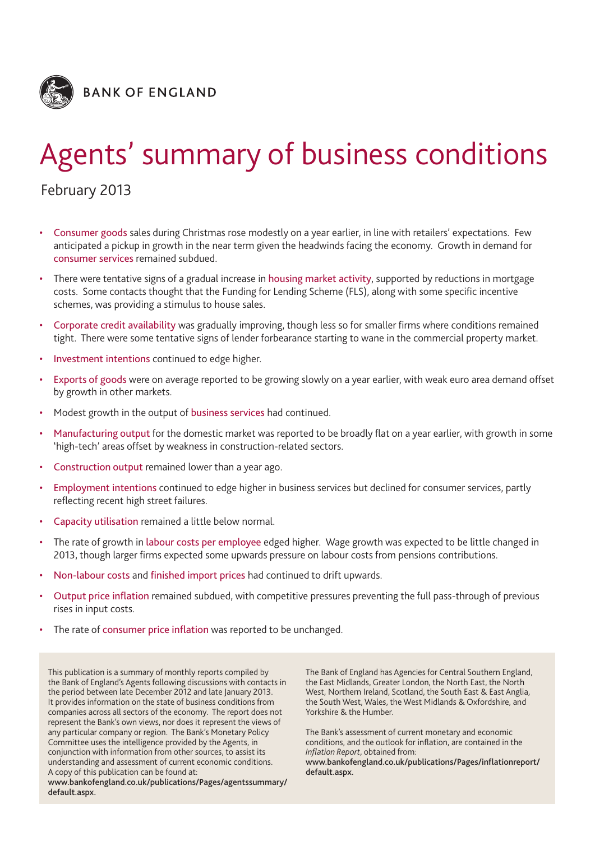

# Agents' summary of business conditions

# February 2013

- Consumer goods sales during Christmas rose modestly on a year earlier, in line with retailers' expectations. Few anticipated a pickup in growth in the near term given the headwinds facing the economy. Growth in demand for consumer services remained subdued.
- There were tentative signs of a gradual increase in housing market activity, supported by reductions in mortgage costs. Some contacts thought that the Funding for Lending Scheme (FLS), along with some specific incentive schemes, was providing a stimulus to house sales.
- Corporate credit availability was gradually improving, though less so for smaller firms where conditions remained tight. There were some tentative signs of lender forbearance starting to wane in the commercial property market.
- Investment intentions continued to edge higher.
- Exports of goods were on average reported to be growing slowly on a year earlier, with weak euro area demand offset by growth in other markets.
- Modest growth in the output of business services had continued.
- Manufacturing output for the domestic market was reported to be broadly flat on a year earlier, with growth in some 'high-tech' areas offset by weakness in construction-related sectors.
- Construction output remained lower than a year ago.
- Employment intentions continued to edge higher in business services but declined for consumer services, partly reflecting recent high street failures.
- Capacity utilisation remained a little below normal.
- The rate of growth in labour costs per employee edged higher. Wage growth was expected to be little changed in 2013, though larger firms expected some upwards pressure on labour costs from pensions contributions.
- Non-labour costs and finished import prices had continued to drift upwards.
- Output price inflation remained subdued, with competitive pressures preventing the full pass-through of previous rises in input costs.
- The rate of consumer price inflation was reported to be unchanged.

This publication is a summary of monthly reports compiled by the Bank of England's Agents following discussions with contacts in the period between late December 2012 and late January 2013. It provides information on the state of business conditions from companies across all sectors of the economy. The report does not represent the Bank's own views, nor does it represent the views of any particular company or region. The Bank's Monetary Policy Committee uses the intelligence provided by the Agents, in conjunction with information from other sources, to assist its understanding and assessment of current economic conditions. A copy of this publication can be found at:

**www.bankofengland.co.uk/publications/Pages/agentssummary/ default.aspx.**

The Bank of England has Agencies for Central Southern England, the East Midlands, Greater London, the North East, the North West, Northern Ireland, Scotland, the South East & East Anglia, the South West, Wales, the West Midlands & Oxfordshire, and Yorkshire & the Humber.

The Bank's assessment of current monetary and economic conditions, and the outlook for inflation, are contained in the *Inflation Report*, obtained from:

**www.bankofengland.co.uk/publications/Pages/inflationreport/ default.aspx.**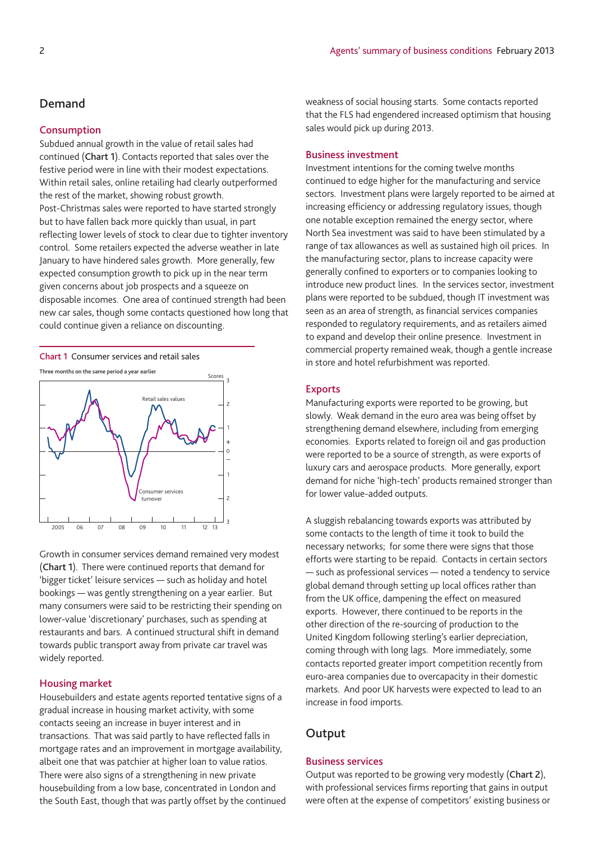## **Demand**

### **Consumption**

Subdued annual growth in the value of retail sales had continued (**Chart 1**). Contacts reported that sales over the festive period were in line with their modest expectations. Within retail sales, online retailing had clearly outperformed the rest of the market, showing robust growth. Post-Christmas sales were reported to have started strongly but to have fallen back more quickly than usual, in part reflecting lower levels of stock to clear due to tighter inventory control. Some retailers expected the adverse weather in late January to have hindered sales growth. More generally, few expected consumption growth to pick up in the near term given concerns about job prospects and a squeeze on disposable incomes. One area of continued strength had been new car sales, though some contacts questioned how long that could continue given a reliance on discounting.

#### **Chart 1** Consumer services and retail sales



Growth in consumer services demand remained very modest (**Chart 1**). There were continued reports that demand for 'bigger ticket' leisure services — such as holiday and hotel bookings — was gently strengthening on a year earlier. But many consumers were said to be restricting their spending on lower-value 'discretionary' purchases, such as spending at restaurants and bars. A continued structural shift in demand towards public transport away from private car travel was widely reported.

## **Housing market**

Housebuilders and estate agents reported tentative signs of a gradual increase in housing market activity, with some contacts seeing an increase in buyer interest and in transactions. That was said partly to have reflected falls in mortgage rates and an improvement in mortgage availability, albeit one that was patchier at higher loan to value ratios. There were also signs of a strengthening in new private housebuilding from a low base, concentrated in London and the South East, though that was partly offset by the continued weakness of social housing starts. Some contacts reported that the FLS had engendered increased optimism that housing sales would pick up during 2013.

#### **Business investment**

Investment intentions for the coming twelve months continued to edge higher for the manufacturing and service sectors. Investment plans were largely reported to be aimed at increasing efficiency or addressing regulatory issues, though one notable exception remained the energy sector, where North Sea investment was said to have been stimulated by a range of tax allowances as well as sustained high oil prices. In the manufacturing sector, plans to increase capacity were generally confined to exporters or to companies looking to introduce new product lines. In the services sector, investment plans were reported to be subdued, though IT investment was seen as an area of strength, as financial services companies responded to regulatory requirements, and as retailers aimed to expand and develop their online presence. Investment in commercial property remained weak, though a gentle increase in store and hotel refurbishment was reported.

#### **Exports**

Manufacturing exports were reported to be growing, but slowly. Weak demand in the euro area was being offset by strengthening demand elsewhere, including from emerging economies. Exports related to foreign oil and gas production were reported to be a source of strength, as were exports of luxury cars and aerospace products. More generally, export demand for niche 'high-tech' products remained stronger than for lower value-added outputs.

A sluggish rebalancing towards exports was attributed by some contacts to the length of time it took to build the necessary networks; for some there were signs that those efforts were starting to be repaid. Contacts in certain sectors — such as professional services — noted a tendency to service global demand through setting up local offices rather than from the UK office, dampening the effect on measured exports. However, there continued to be reports in the other direction of the re-sourcing of production to the United Kingdom following sterling's earlier depreciation, coming through with long lags. More immediately, some contacts reported greater import competition recently from euro-area companies due to overcapacity in their domestic markets. And poor UK harvests were expected to lead to an increase in food imports.

## **Output**

## **Business services**

Output was reported to be growing very modestly (**Chart 2**), with professional services firms reporting that gains in output were often at the expense of competitors' existing business or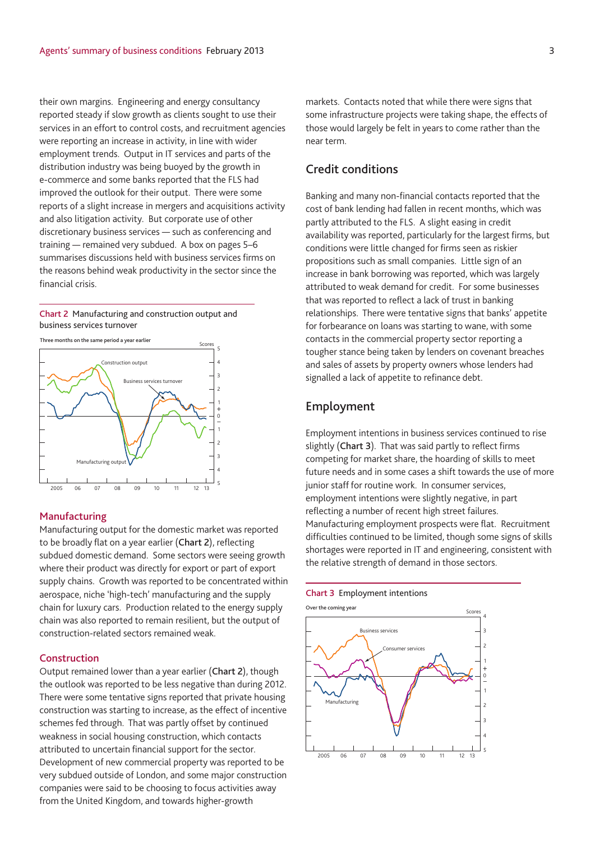their own margins. Engineering and energy consultancy reported steady if slow growth as clients sought to use their services in an effort to control costs, and recruitment agencies were reporting an increase in activity, in line with wider employment trends. Output in IT services and parts of the distribution industry was being buoyed by the growth in e-commerce and some banks reported that the FLS had improved the outlook for their output. There were some reports of a slight increase in mergers and acquisitions activity and also litigation activity. But corporate use of other discretionary business services — such as conferencing and training — remained very subdued. A box on pages 5–6 summarises discussions held with business services firms on the reasons behind weak productivity in the sector since the financial crisis.

#### **Chart 2** Manufacturing and construction output and business services turnover



#### **Manufacturing**

Manufacturing output for the domestic market was reported to be broadly flat on a year earlier (**Chart 2**), reflecting subdued domestic demand. Some sectors were seeing growth where their product was directly for export or part of export supply chains. Growth was reported to be concentrated within aerospace, niche 'high-tech' manufacturing and the supply chain for luxury cars. Production related to the energy supply chain was also reported to remain resilient, but the output of construction-related sectors remained weak.

#### **Construction**

Output remained lower than a year earlier (**Chart 2**), though the outlook was reported to be less negative than during 2012. There were some tentative signs reported that private housing construction was starting to increase, as the effect of incentive schemes fed through. That was partly offset by continued weakness in social housing construction, which contacts attributed to uncertain financial support for the sector. Development of new commercial property was reported to be very subdued outside of London, and some major construction companies were said to be choosing to focus activities away from the United Kingdom, and towards higher-growth

markets. Contacts noted that while there were signs that some infrastructure projects were taking shape, the effects of those would largely be felt in years to come rather than the near term.

## **Credit conditions**

Banking and many non-financial contacts reported that the cost of bank lending had fallen in recent months, which was partly attributed to the FLS. A slight easing in credit availability was reported, particularly for the largest firms, but conditions were little changed for firms seen as riskier propositions such as small companies. Little sign of an increase in bank borrowing was reported, which was largely attributed to weak demand for credit. For some businesses that was reported to reflect a lack of trust in banking relationships. There were tentative signs that banks' appetite for forbearance on loans was starting to wane, with some contacts in the commercial property sector reporting a tougher stance being taken by lenders on covenant breaches and sales of assets by property owners whose lenders had signalled a lack of appetite to refinance debt.

## **Employment**

Employment intentions in business services continued to rise slightly (**Chart 3**). That was said partly to reflect firms competing for market share, the hoarding of skills to meet future needs and in some cases a shift towards the use of more junior staff for routine work. In consumer services, employment intentions were slightly negative, in part reflecting a number of recent high street failures. Manufacturing employment prospects were flat. Recruitment difficulties continued to be limited, though some signs of skills shortages were reported in IT and engineering, consistent with the relative strength of demand in those sectors.

#### **Chart 3** Employment intentions



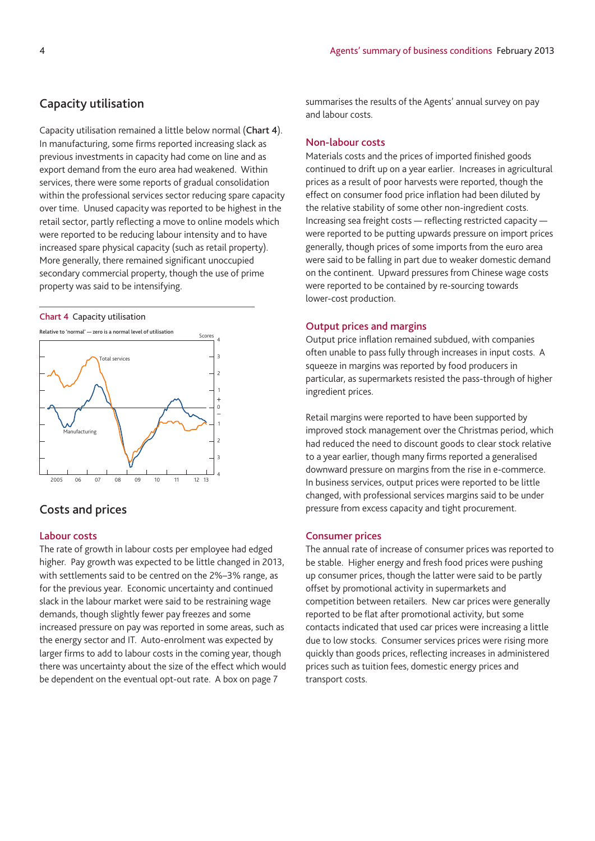Capacity utilisation remained a little below normal (**Chart 4**). In manufacturing, some firms reported increasing slack as previous investments in capacity had come on line and as export demand from the euro area had weakened. Within services, there were some reports of gradual consolidation within the professional services sector reducing spare capacity over time. Unused capacity was reported to be highest in the retail sector, partly reflecting a move to online models which were reported to be reducing labour intensity and to have increased spare physical capacity (such as retail property). More generally, there remained significant unoccupied secondary commercial property, though the use of prime property was said to be intensifying.

#### **Chart 4** Capacity utilisation



# **Costs and prices**

## **Labour costs**

The rate of growth in labour costs per employee had edged higher. Pay growth was expected to be little changed in 2013, with settlements said to be centred on the 2%–3% range, as for the previous year. Economic uncertainty and continued slack in the labour market were said to be restraining wage demands, though slightly fewer pay freezes and some increased pressure on pay was reported in some areas, such as the energy sector and IT. Auto-enrolment was expected by larger firms to add to labour costs in the coming year, though there was uncertainty about the size of the effect which would be dependent on the eventual opt-out rate. A box on page 7

summarises the results of the Agents' annual survey on pay and labour costs.

## **Non-labour costs**

Materials costs and the prices of imported finished goods continued to drift up on a year earlier. Increases in agricultural prices as a result of poor harvests were reported, though the effect on consumer food price inflation had been diluted by the relative stability of some other non-ingredient costs. Increasing sea freight costs — reflecting restricted capacity were reported to be putting upwards pressure on import prices generally, though prices of some imports from the euro area were said to be falling in part due to weaker domestic demand on the continent. Upward pressures from Chinese wage costs were reported to be contained by re-sourcing towards lower-cost production.

## **Output prices and margins**

Output price inflation remained subdued, with companies often unable to pass fully through increases in input costs. A squeeze in margins was reported by food producers in particular, as supermarkets resisted the pass-through of higher ingredient prices.

Retail margins were reported to have been supported by improved stock management over the Christmas period, which had reduced the need to discount goods to clear stock relative to a year earlier, though many firms reported a generalised downward pressure on margins from the rise in e-commerce. In business services, output prices were reported to be little changed, with professional services margins said to be under pressure from excess capacity and tight procurement.

## **Consumer prices**

The annual rate of increase of consumer prices was reported to be stable. Higher energy and fresh food prices were pushing up consumer prices, though the latter were said to be partly offset by promotional activity in supermarkets and competition between retailers. New car prices were generally reported to be flat after promotional activity, but some contacts indicated that used car prices were increasing a little due to low stocks. Consumer services prices were rising more quickly than goods prices, reflecting increases in administered prices such as tuition fees, domestic energy prices and transport costs.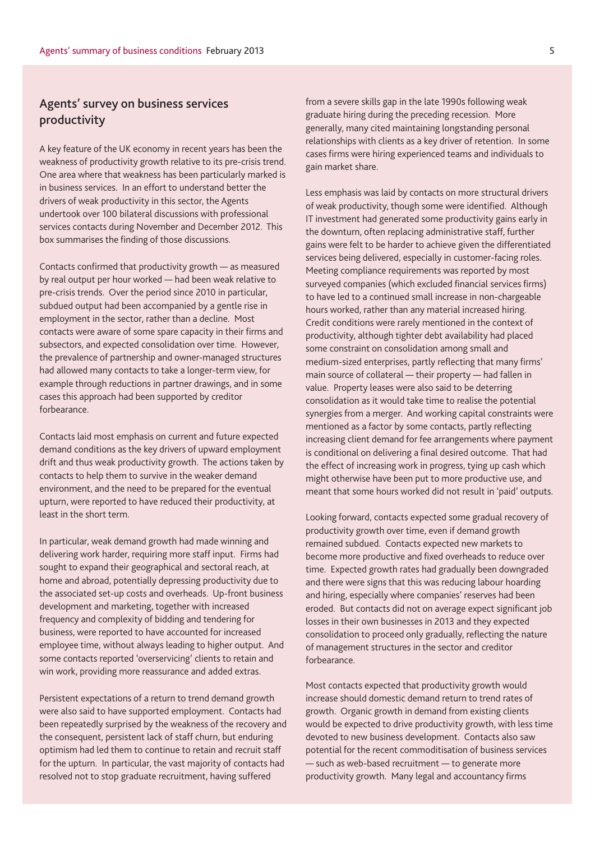# **Agents' survey on business services productivity**

A key feature of the UK economy in recent years has been the weakness of productivity growth relative to its pre-crisis trend. One area where that weakness has been particularly marked is in business services. In an effort to understand better the drivers of weak productivity in this sector, the Agents undertook over 100 bilateral discussions with professional services contacts during November and December 2012. This box summarises the finding of those discussions.

Contacts confirmed that productivity growth — as measured by real output per hour worked — had been weak relative to pre-crisis trends. Over the period since 2010 in particular, subdued output had been accompanied by a gentle rise in employment in the sector, rather than a decline. Most contacts were aware of some spare capacity in their firms and subsectors, and expected consolidation over time. However, the prevalence of partnership and owner-managed structures had allowed many contacts to take a longer-term view, for example through reductions in partner drawings, and in some cases this approach had been supported by creditor forbearance.

Contacts laid most emphasis on current and future expected demand conditions as the key drivers of upward employment drift and thus weak productivity growth. The actions taken by contacts to help them to survive in the weaker demand environment, and the need to be prepared for the eventual upturn, were reported to have reduced their productivity, at least in the short term.

In particular, weak demand growth had made winning and delivering work harder, requiring more staff input. Firms had sought to expand their geographical and sectoral reach, at home and abroad, potentially depressing productivity due to the associated set-up costs and overheads. Up-front business development and marketing, together with increased frequency and complexity of bidding and tendering for business, were reported to have accounted for increased employee time, without always leading to higher output. And some contacts reported 'overservicing' clients to retain and win work, providing more reassurance and added extras.

Persistent expectations of a return to trend demand growth were also said to have supported employment. Contacts had been repeatedly surprised by the weakness of the recovery and the consequent, persistent lack of staff churn, but enduring optimism had led them to continue to retain and recruit staff for the upturn. In particular, the vast majority of contacts had resolved not to stop graduate recruitment, having suffered

from a severe skills gap in the late 1990s following weak graduate hiring during the preceding recession. More generally, many cited maintaining longstanding personal relationships with clients as a key driver of retention. In some cases firms were hiring experienced teams and individuals to gain market share.

Less emphasis was laid by contacts on more structural drivers of weak productivity, though some were identified. Although IT investment had generated some productivity gains early in the downturn, often replacing administrative staff, further gains were felt to be harder to achieve given the differentiated services being delivered, especially in customer-facing roles. Meeting compliance requirements was reported by most surveyed companies (which excluded financial services firms) to have led to a continued small increase in non-chargeable hours worked, rather than any material increased hiring. Credit conditions were rarely mentioned in the context of productivity, although tighter debt availability had placed some constraint on consolidation among small and medium-sized enterprises, partly reflecting that many firms' main source of collateral — their property — had fallen in value. Property leases were also said to be deterring consolidation as it would take time to realise the potential synergies from a merger. And working capital constraints were mentioned as a factor by some contacts, partly reflecting increasing client demand for fee arrangements where payment is conditional on delivering a final desired outcome. That had the effect of increasing work in progress, tying up cash which might otherwise have been put to more productive use, and meant that some hours worked did not result in 'paid' outputs.

Looking forward, contacts expected some gradual recovery of productivity growth over time, even if demand growth remained subdued. Contacts expected new markets to become more productive and fixed overheads to reduce over time. Expected growth rates had gradually been downgraded and there were signs that this was reducing labour hoarding and hiring, especially where companies' reserves had been eroded. But contacts did not on average expect significant job losses in their own businesses in 2013 and they expected consolidation to proceed only gradually, reflecting the nature of management structures in the sector and creditor forbearance.

Most contacts expected that productivity growth would increase should domestic demand return to trend rates of growth. Organic growth in demand from existing clients would be expected to drive productivity growth, with less time devoted to new business development. Contacts also saw potential for the recent commoditisation of business services — such as web-based recruitment — to generate more productivity growth. Many legal and accountancy firms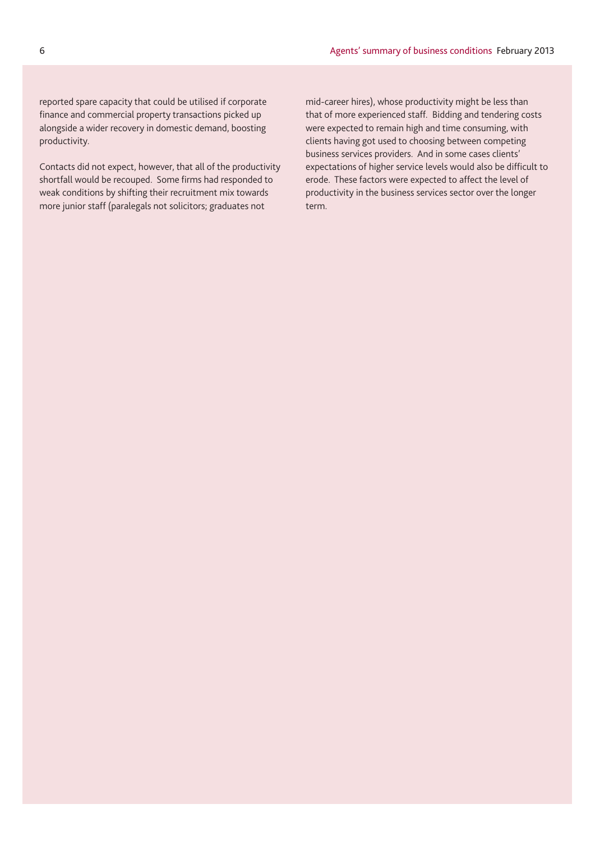reported spare capacity that could be utilised if corporate finance and commercial property transactions picked up alongside a wider recovery in domestic demand, boosting productivity.

Contacts did not expect, however, that all of the productivity shortfall would be recouped. Some firms had responded to weak conditions by shifting their recruitment mix towards more junior staff (paralegals not solicitors; graduates not

mid-career hires), whose productivity might be less than that of more experienced staff. Bidding and tendering costs were expected to remain high and time consuming, with clients having got used to choosing between competing business services providers. And in some cases clients' expectations of higher service levels would also be difficult to erode. These factors were expected to affect the level of productivity in the business services sector over the longer term.